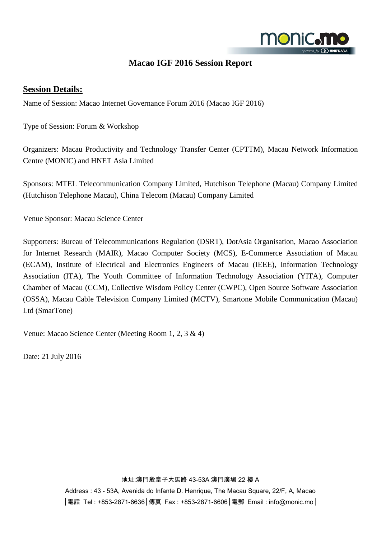

## **Macao IGF 2016 Session Report**

### **Session Details:**

Name of Session: Macao Internet Governance Forum 2016 (Macao IGF 2016)

Type of Session: Forum & Workshop

Organizers: Macau Productivity and Technology Transfer Center (CPTTM), Macau Network Information Centre (MONIC) and HNET Asia Limited

Sponsors: MTEL Telecommunication Company Limited, Hutchison Telephone (Macau) Company Limited (Hutchison Telephone Macau), China Telecom (Macau) Company Limited

Venue Sponsor: Macau Science Center

Supporters: Bureau of Telecommunications Regulation (DSRT), DotAsia Organisation, Macao Association for Internet Research (MAIR), Macao Computer Society (MCS), E-Commerce Association of Macau (ECAM), Institute of Electrical and Electronics Engineers of Macau (IEEE), Information Technology Association (ITA), The Youth Committee of Information Technology Association (YITA), Computer Chamber of Macau (CCM), Collective Wisdom Policy Center (CWPC), Open Source Software Association (OSSA), Macau Cable Television Company Limited (MCTV), Smartone Mobile Communication (Macau) Ltd (SmarTone)

Venue: Macao Science Center (Meeting Room 1, 2, 3 & 4)

Date: 21 July 2016

#### 地址:澳門殷皇子大馬路 43-53A 澳門廣場 22 樓 A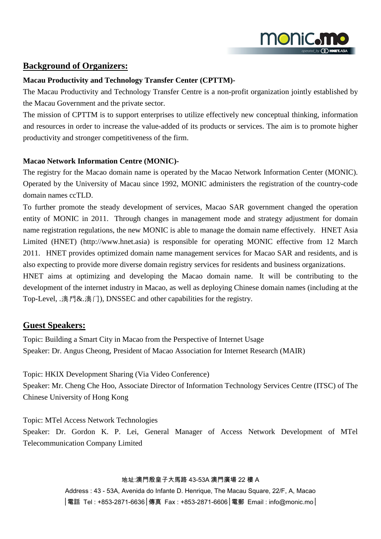

### **Background of Organizers:**

#### **Macau Productivity and Technology Transfer Center (CPTTM)-**

The Macau Productivity and Technology Transfer Centre is a non-profit organization jointly established by the Macau Government and the private sector.

The mission of CPTTM is to support enterprises to utilize effectively new conceptual thinking, information and resources in order to increase the value-added of its products or services. The aim is to promote higher productivity and stronger competitiveness of the firm.

#### **Macao Network Information Centre (MONIC)-**

The registry for the Macao domain name is operated by the Macao Network Information Center (MONIC). Operated by the University of Macau since 1992, MONIC administers the registration of the country-code domain names ccTLD.

To further promote the steady development of services, Macao SAR government changed the operation entity of MONIC in 2011. Through changes in management mode and strategy adjustment for domain name registration regulations, the new MONIC is able to manage the domain name effectively. HNET Asia Limited (HNET) (http://www.hnet.asia) is responsible for operating MONIC effective from 12 March 2011. HNET provides optimized domain name management services for Macao SAR and residents, and is also expecting to provide more diverse domain registry services for residents and business organizations.

HNET aims at optimizing and developing the Macao domain name. It will be contributing to the development of the internet industry in Macao, as well as deploying Chinese domain names (including at the Top-Level, .澳門&.澳门), DNSSEC and other capabilities for the registry.

## **Guest Speakers:**

Topic: Building a Smart City in Macao from the Perspective of Internet Usage Speaker: Dr. Angus Cheong, President of Macao Association for Internet Research (MAIR)

Topic: HKIX Development Sharing (Via Video Conference) Speaker: Mr. Cheng Che Hoo, Associate Director of Information Technology Services Centre (ITSC) of The Chinese University of Hong Kong

Topic: MTel Access Network Technologies Speaker: Dr. Gordon K. P. Lei, General Manager of Access Network Development of MTel Telecommunication Company Limited

#### 地址:澳門殷皇子大馬路 43-53A 澳門廣場 22 樓 A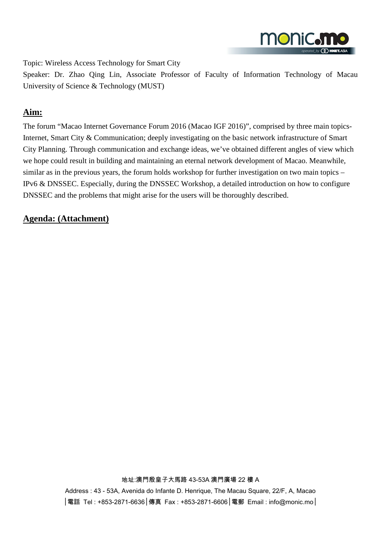

Topic: Wireless Access Technology for Smart City

Speaker: Dr. Zhao Qing Lin, Associate Professor of Faculty of Information Technology of Macau University of Science & Technology (MUST)

## **Aim:**

The forum "Macao Internet Governance Forum 2016 (Macao IGF 2016)", comprised by three main topics-Internet, Smart City & Communication; deeply investigating on the basic network infrastructure of Smart City Planning. Through communication and exchange ideas, we've obtained different angles of view which we hope could result in building and maintaining an eternal network development of Macao. Meanwhile, similar as in the previous years, the forum holds workshop for further investigation on two main topics – IPv6 & DNSSEC. Especially, during the DNSSEC Workshop, a detailed introduction on how to configure DNSSEC and the problems that might arise for the users will be thoroughly described.

### **Agenda: (Attachment)**

地址:澳門殷皇子大馬路 43-53A 澳門廣場 22 樓 A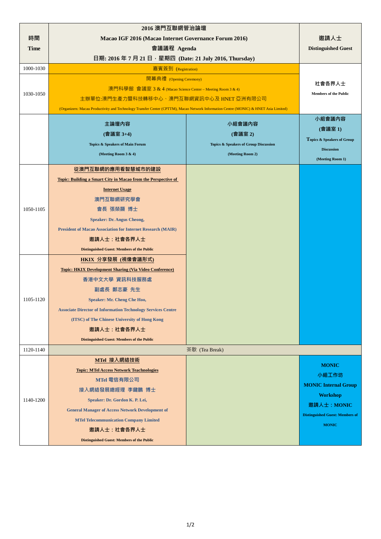|             | 2016 澳門互聯網管治論壇                                                                                                                        |                                       |                                        |
|-------------|---------------------------------------------------------------------------------------------------------------------------------------|---------------------------------------|----------------------------------------|
| 時間          | Macao IGF 2016 (Macao Internet Governance Forum 2016)                                                                                 | 邀請人士                                  |                                        |
| <b>Time</b> | 會議議程 Agenda                                                                                                                           |                                       | <b>Distinguished Guest</b>             |
|             | 日期: 2016年7月21日,星期四 (Date: 21 July 2016, Thursday)                                                                                     |                                       |                                        |
| 1000-1030   | 嘉賓簽到 (Registration)                                                                                                                   |                                       |                                        |
|             | 開幕典禮 (Opening Ceremony)                                                                                                               |                                       |                                        |
|             | 澳門科學館 會議室 3 & 4 (Macao Science Center – Meeting Room 3 & 4)                                                                           |                                       | 社會各界人士                                 |
| 1030-1050   | 主辦單位:澳門生產力暨科技轉移中心、澳門互聯網資訊中心及 HNET 亞洲有限公司                                                                                              |                                       | <b>Members of the Public</b>           |
|             | (Organizers: Macau Productivity and Technology Transfer Center (CPTTM), Macao Network Information Centre (MONIC) & HNET Asia Limited) |                                       |                                        |
|             | 主論壇內容                                                                                                                                 | 小組會議內容                                | 小組會議內容                                 |
|             | (會議室 3+4)                                                                                                                             | (會議室 2)                               | (會議室1)                                 |
|             | Topics & Speakers of Main Forum                                                                                                       | Topics & Speakers of Group Discussion | Topics & Speakers of Group             |
|             | (Meeting Room 3 & 4)                                                                                                                  | (Meeting Room 2)                      | <b>Discussion</b>                      |
|             |                                                                                                                                       |                                       | (Meeting Room 1)                       |
|             | 從澳門互聯網的應用看智慧城市的建設                                                                                                                     |                                       |                                        |
|             | <b>Topic: Building a Smart City in Macao from the Perspective of</b>                                                                  |                                       |                                        |
|             | <b>Internet Usage</b>                                                                                                                 |                                       |                                        |
|             | 澳門互聯網研究學會                                                                                                                             |                                       |                                        |
| 1050-1105   | 會長 張榮顯 博士                                                                                                                             |                                       |                                        |
|             | <b>Speaker: Dr. Angus Cheong,</b>                                                                                                     |                                       |                                        |
|             | <b>President of Macao Association for Internet Research (MAIR)</b>                                                                    |                                       |                                        |
|             | 邀請人士:社會各界人士                                                                                                                           |                                       |                                        |
|             | <b>Distinguished Guest: Members of the Public</b>                                                                                     |                                       |                                        |
|             | HKIX 分享發展 (視像會議形式)                                                                                                                    |                                       |                                        |
|             | <b>Topic: HKIX Development Sharing (Via Video Conference)</b>                                                                         |                                       |                                        |
|             | 香港中文大學 資訊科技服務處                                                                                                                        |                                       |                                        |
|             | 副處長 鄭志豪 先生                                                                                                                            |                                       |                                        |
| 1105-1120   | Speaker: Mr. Cheng Che Hoo,                                                                                                           |                                       |                                        |
|             | <b>Associate Director of Information Technology Services Centre</b>                                                                   |                                       |                                        |
|             | (ITSC) of The Chinese University of Hong Kong                                                                                         |                                       |                                        |
|             | 邀請人士:社會各界人士                                                                                                                           |                                       |                                        |
|             | <b>Distinguished Guest: Members of the Public</b>                                                                                     |                                       |                                        |
| 1120-1140   | 茶歇 (Tea Break)                                                                                                                        |                                       |                                        |
|             | MTel 接入網絡技術                                                                                                                           |                                       | <b>MONIC</b>                           |
|             | <b>Topic: MTel Access Network Teachnologies</b>                                                                                       |                                       | 小組工作坊                                  |
|             | MTel 電信有限公司                                                                                                                           |                                       | <b>MONIC Internal Group</b>            |
|             | 接入網絡發展總經理 李鍵鵬 博士                                                                                                                      |                                       | <b>Workshop</b>                        |
| 1140-1200   | Speaker: Dr. Gordon K. P. Lei,                                                                                                        |                                       | 邀請人士: MONIC                            |
|             | <b>General Manager of Access Network Development of</b>                                                                               |                                       | <b>Distinguished Guest: Members of</b> |
|             | <b>MTel Telecommunication Company Limited</b>                                                                                         |                                       | <b>MONIC</b>                           |
|             | 邀請人士:社會各界人士                                                                                                                           |                                       |                                        |
|             | <b>Distinguished Guest: Members of the Public</b>                                                                                     |                                       |                                        |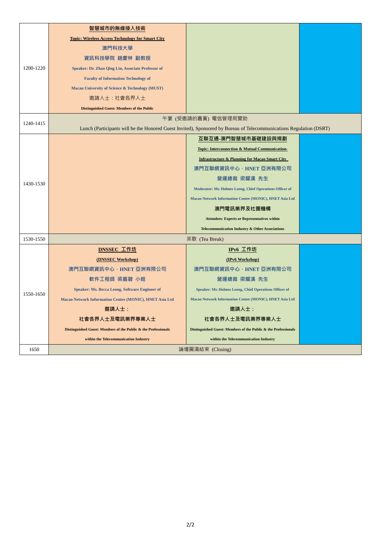|           | 智慧城市的無線接入技術                                                    |                                                                                                                     |  |
|-----------|----------------------------------------------------------------|---------------------------------------------------------------------------------------------------------------------|--|
|           | <b>Topic: Wireless Access Technology for Smart City</b>        |                                                                                                                     |  |
|           | 澳門科技大學                                                         |                                                                                                                     |  |
|           | 資訊科技學院 趙慶林 副教授                                                 |                                                                                                                     |  |
| 1200-1220 | Speaker: Dr. Zhao Qing Lin, Associate Professor of             |                                                                                                                     |  |
|           | <b>Faculty of Information Technology of</b>                    |                                                                                                                     |  |
|           | Macau University of Science & Technology (MUST)                |                                                                                                                     |  |
|           | 邀請人士:社會各界人士                                                    |                                                                                                                     |  |
|           | <b>Distinguished Guest: Members of the Public</b>              |                                                                                                                     |  |
| 1240-1415 |                                                                | 午宴 (受邀請的嘉賓) 電信管理局贊助                                                                                                 |  |
|           |                                                                | Lunch (Participants will be the Honored Guest Invited), Sponsored by Bureau of Telecommunications Regulation (DSRT) |  |
|           |                                                                | 互聯互通-澳門智慧城市基礎建設與規劃                                                                                                  |  |
|           |                                                                | Topic: Interconnection & Mutual Communication-                                                                      |  |
|           |                                                                | <b>Infrastructure &amp; Planning for Macao Smart City</b>                                                           |  |
|           |                                                                | 澳門互聯網資訊中心﹐HNET 亞洲有限公司                                                                                               |  |
| 1430-1530 |                                                                | 營運總裁 梁耀漢 先生                                                                                                         |  |
|           |                                                                | Moderator: Mr. Holmes Leong, Chief Operations Officer of                                                            |  |
|           |                                                                | Macao Network Information Centre (MONIC), HNET Asia Ltd                                                             |  |
|           |                                                                | 澳門電訊業界及社團機構                                                                                                         |  |
|           |                                                                | <b>Attendees: Experts or Representatives within</b>                                                                 |  |
|           |                                                                | Telecommunication Industry & Other Associations                                                                     |  |
| 1530-1550 |                                                                | 茶歇 (Tea Break)                                                                                                      |  |
|           | DNSSEC 工作坊                                                     | <b>IPv6 工作坊</b>                                                                                                     |  |
|           | (DNSSEC Workshop)                                              | (IPv6 Workshop)                                                                                                     |  |
|           | 澳門互聯網資訊中心,HNET 亞洲有限公司                                          | 澳門互聯網資訊中心, HNET 亞洲有限公司                                                                                              |  |
|           | 軟件工程師 梁嘉碧 小姐                                                   | 營運總裁 梁耀漢 先生                                                                                                         |  |
| 1550-1650 | Speaker: Ms. Becca Leong, Software Engineer of                 | Speaker: Mr. Holmes Leong, Chief Operations Officer of                                                              |  |
|           | Macao Network Information Centre (MONIC), HNET Asia Ltd        | Macao Network Information Centre (MONIC), HNET Asia Ltd                                                             |  |
|           | 激請人士:                                                          | 邀請人士:                                                                                                               |  |
|           | 社會各界人士及電訊業界專業人士                                                | 社會各界人士及電訊業界專業人士                                                                                                     |  |
|           | Distinguished Guest: Members of the Public & the Professionals | Distinguished Guest: Members of the Public & the Professionals                                                      |  |
|           | within the Telecommunication Industry                          | within the Telecommunication Industry                                                                               |  |
| 1650      | 論壇圓滿結束 (Closing)                                               |                                                                                                                     |  |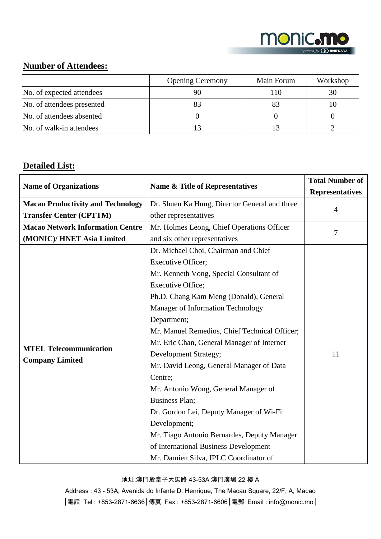

## **Number of Attendees:**

|                            | <b>Opening Ceremony</b> | Main Forum | Workshop |
|----------------------------|-------------------------|------------|----------|
| No. of expected attendees  |                         | 110        |          |
| No. of attendees presented |                         |            |          |
| No. of attendees absented  |                         |            |          |
| No. of walk-in attendees   |                         |            |          |

# **Detailed List:**

| <b>Name of Organizations</b>             | Name & Title of Representatives               | <b>Total Number of</b><br><b>Representatives</b> |
|------------------------------------------|-----------------------------------------------|--------------------------------------------------|
| <b>Macau Productivity and Technology</b> | Dr. Shuen Ka Hung, Director General and three |                                                  |
| <b>Transfer Center (CPTTM)</b>           | other representatives                         | $\overline{4}$                                   |
| <b>Macao Network Information Centre</b>  | Mr. Holmes Leong, Chief Operations Officer    | 7                                                |
| (MONIC)/ HNET Asia Limited               | and six other representatives                 |                                                  |
|                                          | Dr. Michael Choi, Chairman and Chief          |                                                  |
|                                          | Executive Officer;                            |                                                  |
|                                          | Mr. Kenneth Vong, Special Consultant of       |                                                  |
|                                          | <b>Executive Office;</b>                      |                                                  |
|                                          | Ph.D. Chang Kam Meng (Donald), General        |                                                  |
|                                          | Manager of Information Technology             |                                                  |
|                                          | Department;                                   |                                                  |
|                                          | Mr. Manuel Remedios, Chief Technical Officer; |                                                  |
| <b>MTEL Telecommunication</b>            | Mr. Eric Chan, General Manager of Internet    |                                                  |
| <b>Company Limited</b>                   | Development Strategy;                         | 11                                               |
|                                          | Mr. David Leong, General Manager of Data      |                                                  |
|                                          | Centre;                                       |                                                  |
|                                          | Mr. Antonio Wong, General Manager of          |                                                  |
|                                          | <b>Business Plan;</b>                         |                                                  |
|                                          | Dr. Gordon Lei, Deputy Manager of Wi-Fi       |                                                  |
|                                          | Development;                                  |                                                  |
|                                          | Mr. Tiago Antonio Bernardes, Deputy Manager   |                                                  |
|                                          | of International Business Development         |                                                  |
|                                          | Mr. Damien Silva, IPLC Coordinator of         |                                                  |

#### 地址:澳門殷皇子大馬路 43-53A 澳門廣場 22 樓 A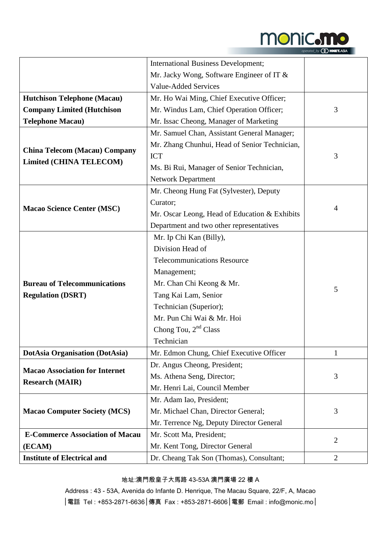

| operated_by <b><i>CO</i></b> HNET.ASU |  |
|---------------------------------------|--|
|---------------------------------------|--|

|                                                                    | <b>International Business Development;</b>    |                |  |
|--------------------------------------------------------------------|-----------------------------------------------|----------------|--|
|                                                                    | Mr. Jacky Wong, Software Engineer of IT &     |                |  |
|                                                                    | <b>Value-Added Services</b>                   |                |  |
| <b>Hutchison Telephone (Macau)</b>                                 | Mr. Ho Wai Ming, Chief Executive Officer;     |                |  |
| <b>Company Limited (Hutchison</b>                                  | Mr. Windus Lam, Chief Operation Officer;      | 3              |  |
| <b>Telephone Macau)</b>                                            | Mr. Issac Cheong, Manager of Marketing        |                |  |
|                                                                    | Mr. Samuel Chan, Assistant General Manager;   |                |  |
|                                                                    | Mr. Zhang Chunhui, Head of Senior Technician, | 3              |  |
| <b>China Telecom (Macau) Company</b>                               | <b>ICT</b>                                    |                |  |
| <b>Limited (CHINA TELECOM)</b>                                     | Ms. Bi Rui, Manager of Senior Technician,     |                |  |
|                                                                    | <b>Network Department</b>                     |                |  |
|                                                                    | Mr. Cheong Hung Fat (Sylvester), Deputy       |                |  |
|                                                                    | Curator;                                      |                |  |
| <b>Macao Science Center (MSC)</b>                                  | Mr. Oscar Leong, Head of Education & Exhibits | 4              |  |
|                                                                    | Department and two other representatives      |                |  |
|                                                                    | Mr. Ip Chi Kan (Billy),                       |                |  |
|                                                                    | Division Head of                              |                |  |
|                                                                    | <b>Telecommunications Resource</b>            |                |  |
|                                                                    | Management;                                   |                |  |
| <b>Bureau of Telecommunications</b>                                | Mr. Chan Chi Keong & Mr.                      | 5              |  |
| <b>Regulation (DSRT)</b>                                           | Tang Kai Lam, Senior                          |                |  |
|                                                                    | Technician (Superior);                        |                |  |
|                                                                    | Mr. Pun Chi Wai & Mr. Hoi                     |                |  |
|                                                                    | Chong Tou, 2 <sup>nd</sup> Class              |                |  |
|                                                                    | Technician                                    |                |  |
| <b>DotAsia Organisation (DotAsia)</b>                              | Mr. Edmon Chung, Chief Executive Officer      | 1              |  |
|                                                                    | Dr. Angus Cheong, President;                  |                |  |
| <b>Macao Association for Internet</b>                              | Ms. Athena Seng, Director;                    | 3              |  |
| <b>Research (MAIR)</b>                                             | Mr. Henri Lai, Council Member                 |                |  |
|                                                                    | Mr. Adam Iao, President;                      |                |  |
| <b>Macao Computer Society (MCS)</b>                                | Mr. Michael Chan, Director General;           | 3              |  |
|                                                                    | Mr. Terrence Ng, Deputy Director General      |                |  |
| <b>E-Commerce Association of Macau</b><br>Mr. Scott Ma, President; |                                               |                |  |
| (ECAM)                                                             | Mr. Kent Tong, Director General               | $\overline{2}$ |  |
| <b>Institute of Electrical and</b>                                 | Dr. Cheang Tak Son (Thomas), Consultant;      | $\overline{2}$ |  |

#### 地址:澳門殷皇子大馬路 43-53A 澳門廣場 22 樓 A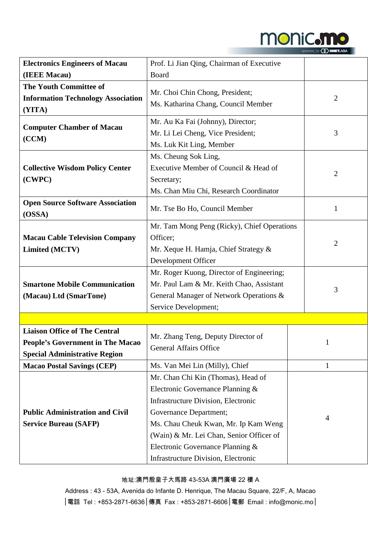

|  | operated_by <b><i>Q HNET.ASU</i></b> |
|--|--------------------------------------|
|--|--------------------------------------|

| <b>Electronics Engineers of Macau</b>             | Prof. Li Jian Qing, Chairman of Executive   |                |  |
|---------------------------------------------------|---------------------------------------------|----------------|--|
| (IEEE Macau)                                      | Board                                       |                |  |
| <b>The Youth Committee of</b>                     |                                             |                |  |
| <b>Information Technology Association</b>         | Mr. Choi Chin Chong, President;             | $\overline{2}$ |  |
| (YITA)                                            | Ms. Katharina Chang, Council Member         |                |  |
|                                                   | Mr. Au Ka Fai (Johnny), Director;           |                |  |
| <b>Computer Chamber of Macau</b>                  | Mr. Li Lei Cheng, Vice President;           | 3              |  |
| (CCM)                                             | Ms. Luk Kit Ling, Member                    |                |  |
|                                                   | Ms. Cheung Sok Ling,                        |                |  |
| <b>Collective Wisdom Policy Center</b>            | Executive Member of Council & Head of       |                |  |
| (CWPC)                                            | Secretary;                                  | 2              |  |
|                                                   | Ms. Chan Miu Chi, Research Coordinator      |                |  |
| <b>Open Source Software Association</b><br>(OSSA) | Mr. Tse Bo Ho, Council Member               | 1              |  |
|                                                   | Mr. Tam Mong Peng (Ricky), Chief Operations |                |  |
|                                                   | Officer:                                    | $\overline{2}$ |  |
| <b>Macau Cable Television Company</b>             |                                             |                |  |
| <b>Limited (MCTV)</b>                             | Mr. Xeque H. Hamja, Chief Strategy &        |                |  |
|                                                   | Development Officer                         |                |  |
| <b>Smartone Mobile Communication</b>              | Mr. Roger Kuong, Director of Engineering;   | 3              |  |
|                                                   | Mr. Paul Lam & Mr. Keith Chao, Assistant    |                |  |
| (Macau) Ltd (SmarTone)                            | General Manager of Network Operations &     |                |  |
|                                                   | Service Development;                        |                |  |
|                                                   |                                             |                |  |
| <b>Liaison Office of The Central</b>              | Mr. Zhang Teng, Deputy Director of          |                |  |
| People's Government in The Macao                  | <b>General Affairs Office</b>               |                |  |
| <b>Special Administrative Region</b>              |                                             |                |  |
| <b>Macao Postal Savings (CEP)</b>                 | Ms. Van Mei Lin (Milly), Chief              | 1              |  |
|                                                   | Mr. Chan Chi Kin (Thomas), Head of          |                |  |
|                                                   | Electronic Governance Planning &            |                |  |
|                                                   | Infrastructure Division, Electronic         |                |  |
| <b>Public Administration and Civil</b>            | Governance Department;                      | 4              |  |
| <b>Service Bureau (SAFP)</b>                      | Ms. Chau Cheuk Kwan, Mr. Ip Kam Weng        |                |  |
|                                                   | (Wain) & Mr. Lei Chan, Senior Officer of    |                |  |
|                                                   | Electronic Governance Planning &            |                |  |
|                                                   | Infrastructure Division, Electronic         |                |  |

#### 地址:澳門殷皇子大馬路 43-53A 澳門廣場 22 樓 A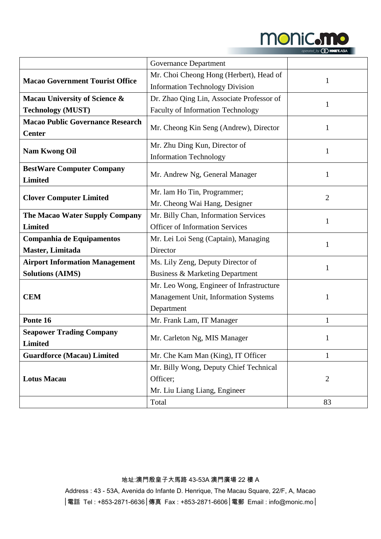

|  | operated_by <b><i>OD</i></b> HNET.ASIA |
|--|----------------------------------------|
|  |                                        |

|                                         | <b>Governance Department</b>              |                |  |
|-----------------------------------------|-------------------------------------------|----------------|--|
|                                         | Mr. Choi Cheong Hong (Herbert), Head of   |                |  |
| <b>Macao Government Tourist Office</b>  | <b>Information Technology Division</b>    | 1              |  |
| Macau University of Science &           | Dr. Zhao Qing Lin, Associate Professor of |                |  |
| <b>Technology (MUST)</b>                | Faculty of Information Technology         |                |  |
| <b>Macao Public Governance Research</b> |                                           |                |  |
| <b>Center</b>                           | Mr. Cheong Kin Seng (Andrew), Director    |                |  |
|                                         | Mr. Zhu Ding Kun, Director of             |                |  |
| <b>Nam Kwong Oil</b>                    | <b>Information Technology</b>             | 1              |  |
| <b>BestWare Computer Company</b>        |                                           |                |  |
| <b>Limited</b>                          | Mr. Andrew Ng, General Manager            | 1              |  |
|                                         | Mr. lam Ho Tin, Programmer;               |                |  |
| <b>Clover Computer Limited</b>          | Mr. Cheong Wai Hang, Designer             | 2              |  |
| The Macao Water Supply Company          | Mr. Billy Chan, Information Services      |                |  |
| <b>Limited</b>                          | <b>Officer of Information Services</b>    | 1              |  |
| Companhia de Equipamentos               | Mr. Lei Loi Seng (Captain), Managing      |                |  |
| Master, Limitada                        | Director                                  | 1              |  |
| <b>Airport Information Management</b>   | Ms. Lily Zeng, Deputy Director of         |                |  |
| <b>Solutions (AIMS)</b>                 | Business & Marketing Department           | 1              |  |
|                                         | Mr. Leo Wong, Engineer of Infrastructure  |                |  |
| <b>CEM</b>                              | Management Unit, Information Systems<br>1 |                |  |
|                                         | Department                                |                |  |
| Ponte 16                                | Mr. Frank Lam, IT Manager                 | $\mathbf{1}$   |  |
| <b>Seapower Trading Company</b>         |                                           |                |  |
| <b>Limited</b>                          | Mr. Carleton Ng, MIS Manager              |                |  |
| <b>Guardforce (Macau) Limited</b>       | Mr. Che Kam Man (King), IT Officer        | $\mathbf{1}$   |  |
|                                         | Mr. Billy Wong, Deputy Chief Technical    |                |  |
| <b>Lotus Macau</b>                      | Officer;                                  | $\overline{2}$ |  |
|                                         | Mr. Liu Liang Liang, Engineer             |                |  |
|                                         | Total                                     | 83             |  |

地址:澳門殷皇子大馬路 43-53A 澳門廣場 22 樓 A